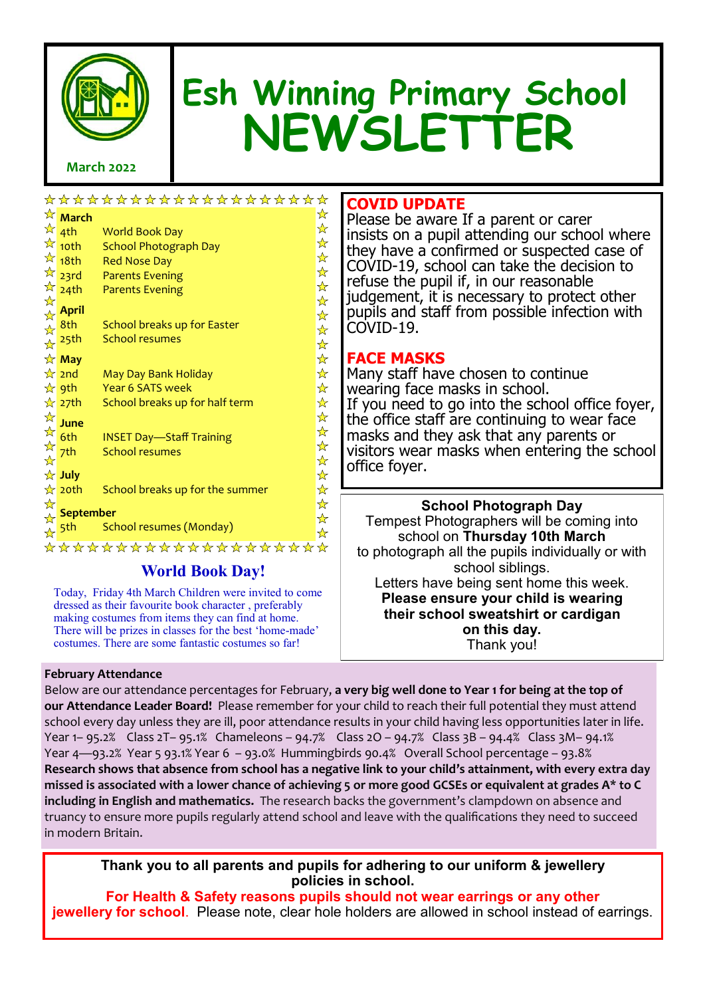

# **Esh Winning Primary School NEWSLETTER**

# **March 2022**

|                      |                                         | *******************             | ☆ |
|----------------------|-----------------------------------------|---------------------------------|---|
|                      | $\overleftrightarrow{\mathbf{r}}$ March |                                 | ☆ |
|                      | $\frac{1}{2}$ 4th                       | <b>World Book Day</b>           | ☆ |
|                      | $\frac{1}{2}$ 10th                      | <b>School Photograph Day</b>    | ☆ |
|                      | $\frac{1}{2}$ 18th                      | <b>Red Nose Day</b>             | ☆ |
|                      | $\frac{1}{2}$ 23rd                      | <b>Parents Evening</b>          | ☆ |
|                      | $\frac{1}{24}$ 24th                     | <b>Parents Evening</b>          | ☆ |
| ☆                    | <b>April</b>                            |                                 | ☆ |
| ☆<br>$\frac{1}{N}$   | 8th                                     | School breaks up for Easter     | ☆ |
| $\frac{1}{\sqrt{2}}$ | 25th                                    | <b>School resumes</b>           | ☆ |
|                      |                                         |                                 | ☆ |
|                      | $\star$ May                             |                                 | ☆ |
|                      | $\frac{1}{2}$ 2nd                       | May Day Bank Holiday            | ☆ |
|                      | ☆ 9th                                   | Year 6 SATS week                | ☆ |
|                      | $\frac{1}{2}$ 27th                      | School breaks up for half term  | ☆ |
| ☆                    | June                                    |                                 | ☆ |
| 华华玲                  | 6th                                     | <b>INSET Day-Staff Training</b> | ☆ |
|                      | 7th                                     | <b>School resumes</b>           | ☆ |
|                      |                                         |                                 | ☆ |
|                      | ☆ July                                  |                                 | ☆ |
|                      | $\frac{1}{N}$ 20th                      | School breaks up for the summer | ☆ |
| ☆                    | <b>September</b>                        |                                 | ☆ |
| ☆                    |                                         |                                 | ☆ |
| ☆                    | 5th                                     | School resumes (Monday)         | ☆ |
|                      |                                         | *******************             | ☆ |
|                      |                                         |                                 |   |

# **World Book Day!**

Today, Friday 4th March Children were invited to come dressed as their favourite book character , preferably making costumes from items they can find at home. There will be prizes in classes for the best 'home-made' costumes. There are some fantastic costumes so far!

# **COVID UPDATE**

Please be aware If a parent or carer insists on a pupil attending our school where they have a confirmed or suspected case of COVID-19, school can take the decision to refuse the pupil if, in our reasonable judgement, it is necessary to protect other pupils and staff from possible infection with COVID-19.

# **FACE MASKS**

Many staff have chosen to continue wearing face masks in school. If you need to go into the school office foyer, the office staff are continuing to wear face masks and they ask that any parents or visitors wear masks when entering the school office foyer.

**School Photograph Day** Tempest Photographers will be coming into school on **Thursday 10th March**  to photograph all the pupils individually or with school siblings. Letters have being sent home this week. **Please ensure your child is wearing their school sweatshirt or cardigan on this day.**  Thank you!

# **February Attendance**

Below are our attendance percentages for February, **a very big well done to Year 1 for being at the top of our Attendance Leader Board!** Please remember for your child to reach their full potential they must attend school every day unless they are ill, poor attendance results in your child having less opportunities later in life. Year 1– 95.2% Class 2T– 95.1% Chameleons – 94.7% Class 2O – 94.7% Class 3B – 94.4% Class 3M– 94.1% Year 4—93.2% Year 5 93.1% Year 6 – 93.0% Hummingbirds 90.4% Overall School percentage – 93.8% **[Research shows that absence from school has a negative link to your child](https://www.gov.uk/government/publications/absence-and-attainment-at-key-stages-2-and-4-2013-to-2014)'s attainment, with every extra day missed is associated with a lower chance of achieving 5 or more good GCSEs or equivalent at grades A\* to C including in English and mathematics.** The research backs the government's clampdown on absence and truancy to ensure more pupils regularly attend school and leave with the qualifications they need to succeed in modern Britain.

**Thank you to all parents and pupils for adhering to our uniform & jewellery policies in school.** 

**For Health & Safety reasons pupils should not wear earrings or any other jewellery for school**. Please note, clear hole holders are allowed in school instead of earrings.